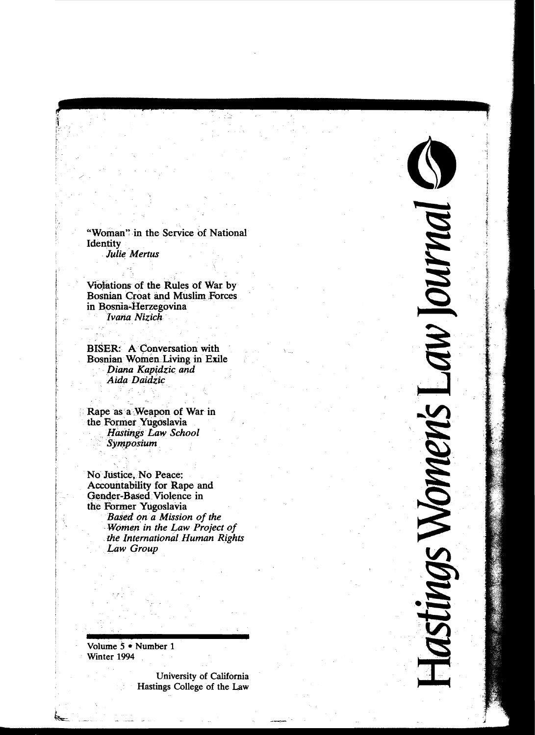"Woman" in the Service of National Identity Julie Mertus

 $\overline{a}$ **"'aI** 

IM

**INI** 

D N O  $\overline{\phantom{a}}$ 

 $\geq$ 

,~  $\sigma$  $\sim$ 

 $\frac{1}{2}$ in<br>C

 **...V)** 

> $\frac{1}{2}$ V<br>S<br>V

 $\tilde{\mathcal{D}}$ 

**.5** 

:I:

..•..

Violations of the Rules of War by Bosnian Croat and Muslim Forces<br>in Bosnia-Herzegovina<br>*Ivana Nizich* 

I

į.

I' t i I f

 $\mathbf{I}$ 

BISER: A Conversation with Bosnian Women Living in Exile *Diana Kapidzic and* Aida Daidzic

Rape as a Weapon of War in the Former Yugoslavia *Hastings 'Law School*   $S$ *ymposium* 

No Justice, No Peace: Accountability for Rape and Gender-Based Violence in the Former Yugoslavia<br>Based on a Mission of the *Women in the Law Project of the International Human Rights* Law Group

Volume 5 • Number 1 Winter 1994

> University of California Hastings College of the Law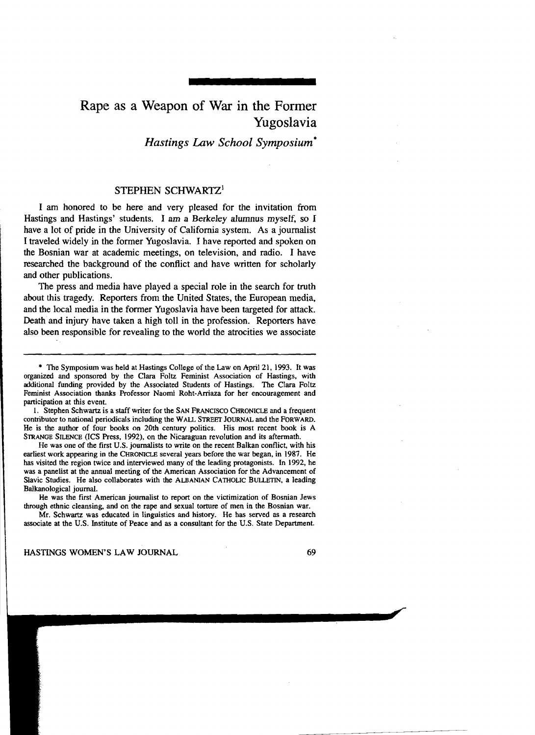## Rape as a Weapon of War in the Former Yugoslavia

*Hastings Law School Symposium·* 

## STEPHEN SCHWARTZ<sup>1</sup>

I am honored to be here and very pleased for the invitation from Hastings and Hastings' students. I am a Berkeley alumnus myself, so I have a lot of pride in the University of California system. As a journalist I traveled widely in the former Yugoslavia. I have reported and spoken on the Bosnian war at academic meetings, on television, and radio. I have researched the background of the conflict and have written for scholarly and other publications.

The press and media have played a special role in the search for truth about this tragedy. Reporters from the United States, the European media, and the local media in the former Yugoslavia have been targeted for attack. Death and injury have taken a high toll in the profession. Reporters have also been responsible for revealing to the world the atrocities we associate

1. Stephen Schwartz is a staff writer for the SAN FRANCISCO CHRONICLE and a frequent contributor to national periodicals including the WALL STREET JOURNAL and the FORWARD. He is the author of four books on 20th century politics. His most recent book is A STRANGE SILENCE (ICS Press, 1992), on the Nicaraguan revolution and its aftermath.

He was one of the first U.S. journalists to write on the recent Balkan conflict, with his earliest work appearing in the CHRONICLE several years before the war began, in 1987. He has visited the region twice and interviewed many of the leading protagonists. In 1992, he was a panelist at the annual meeting of the American Association for the Advancement of Slavic Studies. He also collaborates with the ALBANIAN CATHOLIC BULLETIN, a leading Balkanological journal.

He was the first American journalist to report on the victimization of Bosnian Jews through ethnic cleansing, and on the rape and sexual torture of men in the Bosnian war.

Mr. Schwartz was educated in linguistics and history. He has served as a research associate at the U.S. Institute of Peace and as a consultant for the U.S. State Department.

HASTINGS WOMEN'S LAW JOURNAL 69

<sup>•</sup> The Symposium was held at Hastings College of the Law on April 21, 1993. It was organized and sponsored by the Clara Foltz Feminist Association of Hastings, with additional funding provided by the Associated Students of Hastings. The Clara Foltz Feminist Association thanks Professor Naomi Roht-Arriaza for her encouragement and participation at this event.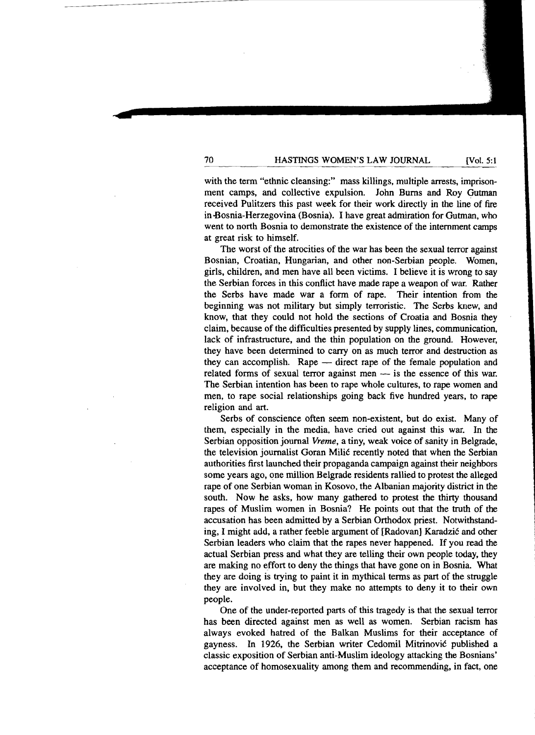70 **HASTINGS WOMEN'S LAW JOURNAL** [Vol. 5:1

with the term "ethnic cleansing:" mass killings, multiple arrests, imprisonment camps, and collective expulsion. John Burns and Roy Gutman received Pulitzers this past week for their work directly in the line of fire in -Bosnia-Herzegovina (Bosnia). I have great admiration for Gutman, who went to north Bosnia to demonstrate the existence of the internment camps at great risk to himself.

The worst of the atrocities of the war has been the sexual terror against Bosnian, Croatian, Hungarian, and other non-Serbian people. Women, girls, children, and men have all been victims. I believe it is wrong to say the Serbian forces in this conflict have made rape a weapon of war. Rather the Serbs have made war a form of rape. Their intention from the beginning was not military but simply terroristic. The Serbs knew, and know, that they could not hold the sections of Croatia and Bosnia they claim, because of the difficulties presented by supply lines, communication, lack of infrastructure, and the thin population on the ground. However, they have been determined to carry on as much terror and destruction as they can accomplish. Rape — direct rape of the female population and related forms of sexual terror against men  $-$  is the essence of this war. The Serbian intention has been to rape whole cultures, to rape women and men, to rape social relationships going back five hundred years, to rape religion and art.

Serbs of conscience often seem non-existent, but do exist. Many of them, especially in the media, have cried out against this war. In the Serbian opposition journal *Vreme,* a tiny, weak voice of sanity in Belgrade, the television journalist Goran Milic recently noted that when the Serbian authorities first launched their propaganda campaign against their neighbors some years ago, one million Belgrade residents rallied to protest the alleged rape of one Serbian woman in Kosovo, the Albanian majority district in the south. Now he asks, how many gathered to protest the thirty thousand rapes of Muslim women in Bosnia? He points out that the truth of the accusation has been admitted by a Serbian Orthodox priest. Notwithstanding, I might add, a rather feeble argument of [Radovan] Karadzić and other Serbian leaders who claim that the rapes never happened. If you read the actual Serbian press and what they are telling their own people today, they are making no effort to deny the things that have gone on in Bosnia. What they are doing is trying to paint it in mythical terms as part of the struggle they are involved in, but they make no attempts to deny it to their own people.

One of the under-reported parts of this tragedy is that the sexual terror has been directed against men as well as women. Serbian racism has always evoked hatred of the Balkan Muslims for their acceptance of gayness. In 1926, the Serbian writer Cedomil Mitrinovic published a classic exposition of Serbian anti-Muslim ideology attacking the Bosnians' acceptance of homosexuality among them and recommending, in fact, one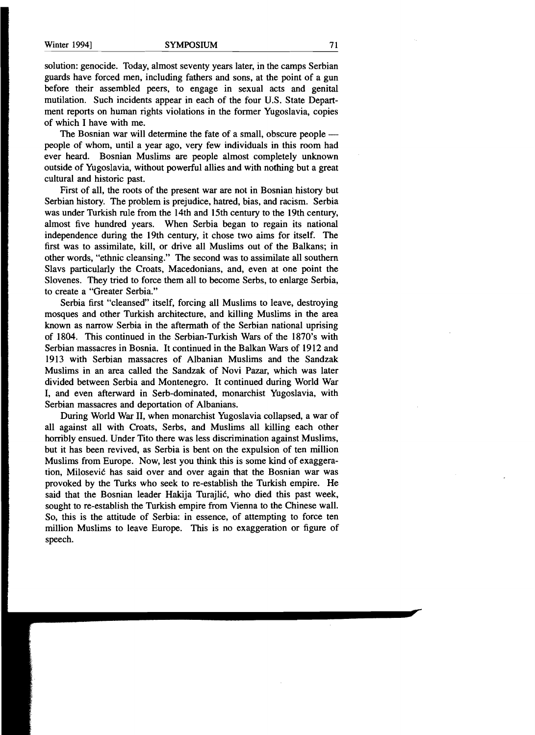solution: genocide. Today, almost seventy years later, in the camps Serbian guards have forced men, including fathers and sons, at the point of a gun before their assembled peers, to engage in sexual acts and genital mutilation. Such incidents appear in each of the four U.S. State Department reports on human rights violations in the former Yugoslavia, copies of which I have with me.

The Bosnian war will determine the fate of a small, obscure people people of whom, until a year ago, very few individuals in this room had ever heard. Bosnian Muslims are people almost completely unknown outside of Yugoslavia, without powerful allies and with nothing but a great cultural and historic past.

First of all, the roots of the present war are not in Bosnian history but Serbian history. The problem is prejudice, hatred, bias, and racism. Serbia was under Turkish rule from the 14th and 15th century to the 19th century, almost five hundred years. When Serbia began to regain its national independence during the 19th century, it chose two aims for itself. The first was to assimilate, kill, or drive all Muslims out of the Balkans; in other words, "ethnic cleansing." The second was to assimilate all southern Slavs particularly the Croats, Macedonians, and, even at one point the Slovenes. They tried to force them all to become Serbs, to enlarge Serbia, to create a "Greater Serbia."

Serbia first "cleansed" itself, forcing all Muslims to leave, destroying mosques and other Turkish architecture, and killing Muslims in the area known as narrow Serbia in the aftermath of the Serbian national uprising of 1804. This continued in the Serbian-Turkish Wars of the 1870's with Serbian massacres in Bosnia. It continued in the Balkan Wars of 1912 and 1913 with Serbian massacres of Albanian Muslims and the Sandzak Muslims in an area called the Sandzak of Novi Pazar, which was later divided between Serbia and Montenegro. It continued during World War I, and even afterward in Serb-dominated, monarchist Yugoslavia, with Serbian massacres and deportation of Albanians.

During World War II, when monarchist Yugoslavia collapsed, a war of all against all with Croats, Serbs, and Muslims all killing each other horribly ensued. Under Tito there was less discrimination against Muslims, but it has been revived, as Serbia is bent on the expulsion of ten million Muslims from Europe. Now, lest you think this is some kind of exaggeration, Milosevic has said over and over again that the Bosnian war was provoked by the Turks who seek to re-establish the Turkish empire. He said that the Bosnian leader Hakija Turajlic, who died this past week, sought to re-establish the Turkish empire from Vienna to the Chinese wall. So, this is the attitude of Serbia: in essence, of attempting to force ten million Muslims to leave Europe. This is no exaggeration or figure of speech.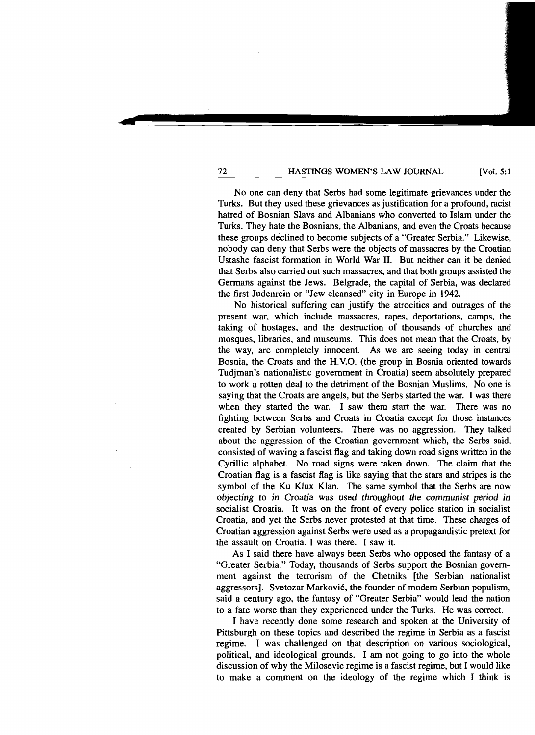72 **HASTINGS WOMEN'S LAW JOURNAL** [Vol. 5:1

No one can deny that Serbs had some legitimate grievances under the Turks. But they used these grievances as justification for a profound, racist hatred of Bosnian Slavs and Albanians who converted to Islam under the Turks. They hate the Bosnians, the Albanians, and even the Croats because these groups declined to become subjects of a "Greater Serbia." Likewise, nobody can deny that Serbs were the objects of massacres by the Croatian Ustashe fascist formation in World War II. But neither can it be denied that Serbs also carried out such massacres, and that both groups assisted the Germans against the Jews. Belgrade, the capital of Serbia, was declared the first Judenrein or "Jew cleansed" city in Europe in 1942.

No historical suffering can justify the atrocities and outrages of the present war, which include massacres, rapes, deportations, camps, the taking of hostages, and the destruction of thousands of churches and mosques, libraries, and museums. This does not mean that the Croats, by the way, are completely innocent. As we are seeing today in central Bosnia, the Croats and the H.V.O. (the group in Bosnia oriented towards Tudjman's nationalistic government in Croatia) seem absolutely prepared to work a rotten deal to the detriment of the Bosnian Muslims. No one is saying that the Croats are angels, but the Serbs started the war. I was there when they started the war. I saw them start the war. There was no fighting between Serbs and Croats in Croatia except for those instances created by Serbian volunteers. There was no aggression. They talked about the aggression of the Croatian government which, the Serbs said, consisted of waving a fascist flag and taking down road signs written in the Cyrillic alphabet. No road signs were taken down. The claim that the Croatian flag is a fascist flag is like saying that the stars and stripes is the symbol of the Ku Klux Klan. The same symbol that the Serbs are now *objecting to* in *Croatia* was used *throughout the communist period in*  socialist Croatia. It was on the front of every police station in socialist Croatia, and yet the Serbs never protested at that time. These charges of Croatian aggression against Serbs were used as a propagandistic pretext for the assault on Croatia. I was there. I saw it.

As I said there have always been Serbs who opposed the fantasy of a "Greater Serbia." Today, thousands of Serbs support the Bosnian government against the terrorism of the Chetniks [the Serbian nationalist aggressors]. Svetozar Markovic, the founder of modem Serbian populism, said a century ago, the fantasy of "Greater Serbia" would lead the nation to a fate worse than they experienced under the Turks. He was correct.

I have recently done some research and spoken at the University of Pittsburgh on these topics and described the regime in Serbia as a fascist regime. I was challenged on that description on various sociological, political, and ideological grounds. I am not going to go into the whole discussion of why the Milosevic regime is a fascist regime, but I would like to make a comment on the ideology of the regime which I think is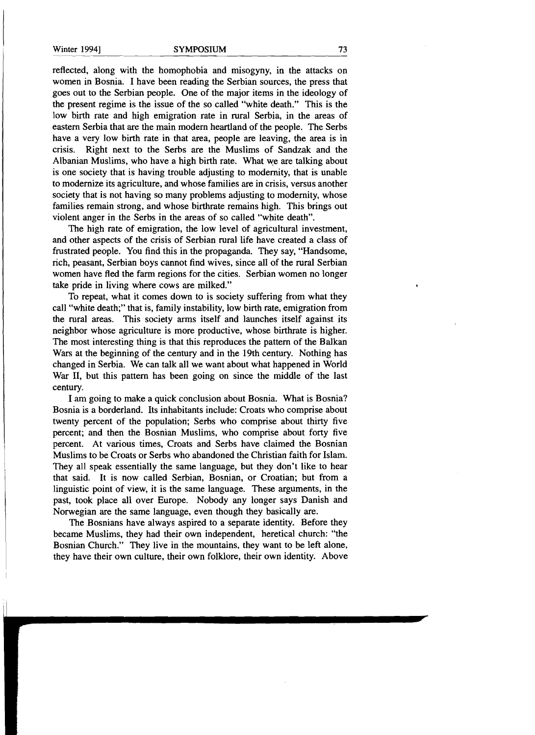reflected, along with the homophobia and misogyny, in the attacks on women in Bosnia. I have been reading the Serbian sources, the press that goes out to the Serbian people. One of the major items in the ideology of the present regime is the issue of the so called "white death." This is the low birth rate and high emigration rate in rural Serbia, in the areas of eastern Serbia that are the main modern heartland of the people. The Serbs have a very low birth rate in that area, people are leaving, the area is in crisis. Right next to the Serbs are the Muslims of Sandzak and the Albanian Muslims, who have a high birth rate. What we are talking about is one society that is having trouble adjusting to modernity, that is unable to modernize its agriculture, and whose families are in crisis, versus another society that is not having so many problems adjusting to modernity, whose families remain strong, and whose birthrate remains high. This brings out violent anger in the Serbs in the areas of so called "white death".

The high rate of emigration, the low level of agricultural investment, and other aspects of the crisis of Serbian rural life have created a class of frustrated people. You find this in the propaganda. They say, "Handsome, rich, peasant, Serbian boys cannot find wives, since all of the rural Serbian women have fled the farm regions for the cities. Serbian women no longer take pride in living where cows are milked."

To repeat, what it comes down to is society suffering from what they call "white death;" that is, family instability, low birth rate, emigration from the rural areas. This society arms itself and launches itself against its neighbor whose agriculture is more productive, whose birthrate is higher. The most interesting thing is that this reproduces the pattern of the Balkan Wars at the beginning of the century and in the 19th century. Nothing has changed in Serbia. We can talk all we want about what happened in World War II, but this pattern has been going on since the middle of the last century.

I am going to make a quick conclusion about Bosnia. What is Bosnia? Bosnia is a borderland. Its inhabitants include: Croats who comprise about twenty percent of the population; Serbs who comprise about thirty five percent; and then the Bosnian Muslims, who comprise about forty five percent. At various times, Croats and Serbs have claimed the Bosnian Muslims to be Croats or Serbs who abandoned the Christian faith for Islam. They all speak essentially the same language, but they don't like to hear that said. It is now called Serbian, Bosnian, or Croatian; but from a linguistic point of view, it is the same language. These arguments, in the past, took place all over Europe. Nobody any longer says Danish and Norwegian are the same language, even though they basically are.

The Bosnians have always aspired to a separate identity. Before they became Muslims, they had their own independent, heretical church: "the Bosnian Church." They live in the mountains, they want to be left alone, they have their own culture, their own folklore, their own identity. Above